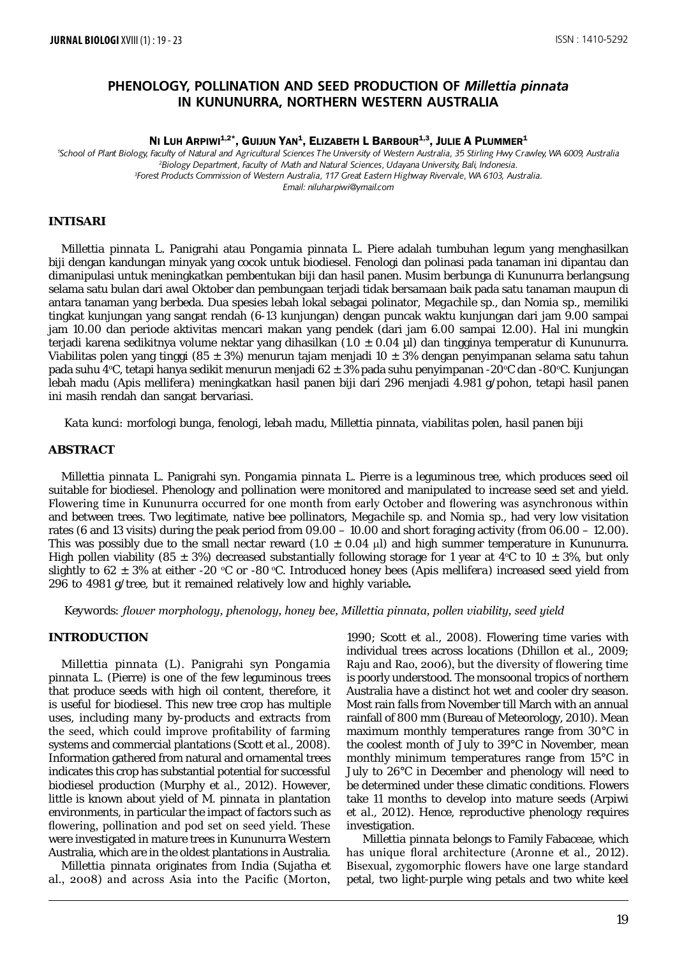# **PHENOLOGY, POLLINATION AND SEED PRODUCTION OF** *Millettia pinnata* **IN KUNUNURRA, NORTHERN WESTERN AUSTRALIA**

NI LUH ARPIWI<sup>1,2\*</sup>, GUIJUN YAN<sup>1</sup>, ELIZABETH L BARBOUR<sup>1,3</sup>, JULIE A PLUMMER<sup>1</sup>

 *School of Plant Biology, Faculty of Natural and Agricultural Sciences The University of Western Australia, 35 Stirling Hwy Crawley, WA 6009, Australia Biology Department, Faculty of Math and Natural Sciences, Udayana University, Bali, Indonesia. Forest Products Commission of Western Australia, 117 Great Eastern Highway Rivervale, WA 6103, Australia. Email: niluharpiwi@ymail.com*

### **INTISARI**

*Millettia pinnata* L. Panigrahi atau *Pongamia pinnata* L. Piere adalah tumbuhan legum yang menghasilkan biji dengan kandungan minyak yang cocok untuk biodiesel. Fenologi dan polinasi pada tanaman ini dipantau dan dimanipulasi untuk meningkatkan pembentukan biji dan hasil panen. Musim berbunga di Kununurra berlangsung selama satu bulan dari awal Oktober dan pembungaan terjadi tidak bersamaan baik pada satu tanaman maupun di antara tanaman yang berbeda. Dua spesies lebah lokal sebagai polinator, *Megachile* sp., dan *Nomia* sp., memiliki tingkat kunjungan yang sangat rendah (6-13 kunjungan) dengan puncak waktu kunjungan dari jam 9.00 sampai jam 10.00 dan periode aktivitas mencari makan yang pendek (dari jam 6.00 sampai 12.00). Hal ini mungkin terjadi karena sedikitnya volume nektar yang dihasilkan (1.0 ± 0.04 µl) dan tingginya temperatur di Kununurra. Viabilitas polen yang tinggi (85 ± 3%) menurun tajam menjadi 10 ± 3% dengan penyimpanan selama satu tahun pada suhu 4°C, tetapi hanya sedikit menurun menjadi 62 ± 3% pada suhu penyimpanan -20°C dan -80°C. Kunjungan lebah madu (*Apis mellifera*) meningkatkan hasil panen biji dari 296 menjadi 4.981 g/pohon, tetapi hasil panen ini masih rendah dan sangat bervariasi.

*Kata kunci: morfologi bunga, fenologi, lebah madu, Millettia pinnata, viabilitas polen, hasil panen biji*

### **ABSTRACT**

*Millettia pinnata* L. Panigrahi syn. *Pongamia pinnata* L. Pierre is a leguminous tree, which produces seed oil suitable for biodiesel. Phenology and pollination were monitored and manipulated to increase seed set and yield. Flowering time in Kununurra occurred for one month from early October and flowering was asynchronous within and between trees. Two legitimate, native bee pollinators, *Megachile* sp. and *Nomia* sp., had very low visitation rates (6 and 13 visits) during the peak period from 09.00 – 10.00 and short foraging activity (from 06.00 – 12.00). This was possibly due to the small nectar reward  $(1.0 \pm 0.04 \mu l)$  and high summer temperature in Kununurra. High pollen viability (85  $\pm$  3%) decreased substantially following storage for 1 year at 4°C to 10  $\pm$  3%, but only slightly to 62  $\pm$  3% at either -20 °C or -80 °C. Introduced honey bees (*Apis mellifera*) increased seed yield from 296 to 4981 g/tree, but it remained relatively low and highly variable**.**

*Keywords: flower morphology, phenology, honey bee, Millettia pinnata, pollen viability, seed yield* 

## **INTRODUCTION**

*Millettia pinnata* (L). Panigrahi syn *Pongamia pinnata* L. (Pierre) is one of the few leguminous trees that produce seeds with high oil content, therefore, it is useful for biodiesel. This new tree crop has multiple uses, including many by-products and extracts from the seed, which could improve profitability of farming systems and commercial plantations (Scott *et al*., 2008). Information gathered from natural and ornamental trees indicates this crop has substantial potential for successful biodiesel production (Murphy *et al*., 2012). However, little is known about yield of *M. pinnata* in plantation environments, in particular the impact of factors such as flowering, pollination and pod set on seed yield. These were investigated in mature trees in Kununurra Western Australia, which are in the oldest plantations in Australia.

*Millettia pinnata* originates from India (Sujatha *et al*., 2008) and across Asia into the Pacific (Morton,

1990; Scott *et al*., 2008). Flowering time varies with individual trees across locations (Dhillon *et al*., 2009; Raju and Rao, 2006), but the diversity of flowering time is poorly understood. The monsoonal tropics of northern Australia have a distinct hot wet and cooler dry season. Most rain falls from November till March with an annual rainfall of 800 mm (Bureau of Meteorology, 2010). Mean maximum monthly temperatures range from 30°C in the coolest month of July to 39°C in November, mean monthly minimum temperatures range from 15°C in July to 26°C in December and phenology will need to be determined under these climatic conditions. Flowers take 11 months to develop into mature seeds (Arpiwi *et al*., 2012). Hence, reproductive phenology requires investigation.

 *Millettia pinnata* belongs to Family Fabaceae, which has unique floral architecture (Aronne *et al*., 2012). Bisexual, zygomorphic flowers have one large standard petal, two light-purple wing petals and two white keel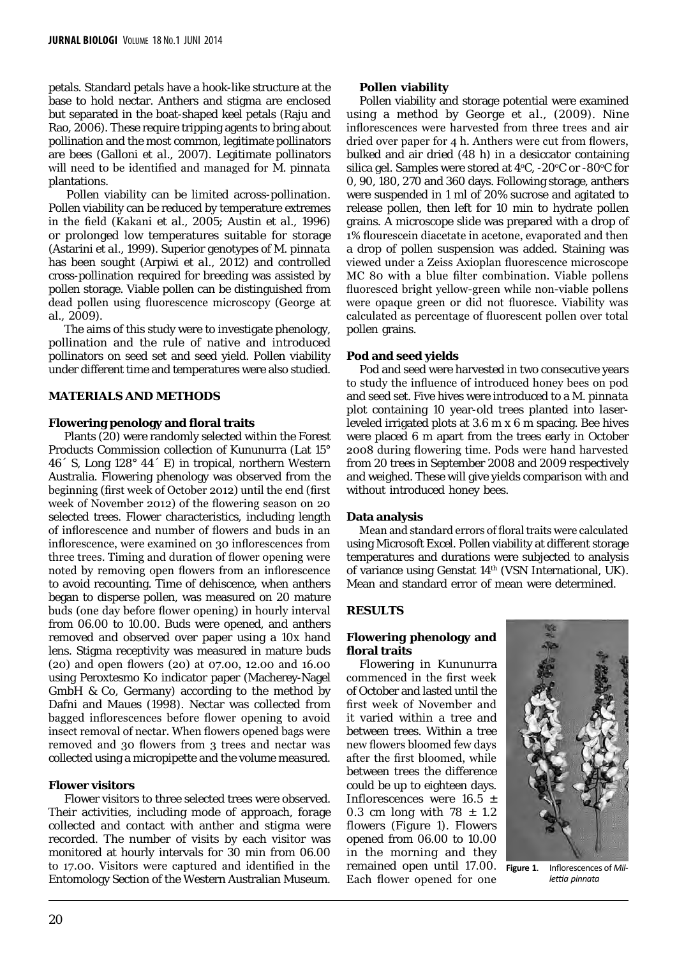petals. Standard petals have a hook-like structure at the base to hold nectar. Anthers and stigma are enclosed but separated in the boat-shaped keel petals (Raju and Rao, 2006). These require tripping agents to bring about pollination and the most common, legitimate pollinators are bees (Galloni *et al*., 2007). Legitimate pollinators will need to be identified and managed for *M. pinnata*  plantations.

 Pollen viability can be limited across-pollination. Pollen viability can be reduced by temperature extremes in the field (Kakani *et al*., 2005; Austin *et al*., 1996) or prolonged low temperatures suitable for storage (Astarini *et al*., 1999). Superior genotypes of *M. pinnata* has been sought (Arpiwi *et al*., 2012) and controlled cross-pollination required for breeding was assisted by pollen storage. Viable pollen can be distinguished from dead pollen using fluorescence microscopy (George *at al*., 2009).

 The aims of this study were to investigate phenology, pollination and the rule of native and introduced pollinators on seed set and seed yield. Pollen viability under different time and temperatures were also studied.

## **MATERIALS AND METHODS**

### **Flowering penology and floral traits**

 Plants (20) were randomly selected within the Forest Products Commission collection of Kununurra (Lat 15° 46´ S, Long 128° 44´ E) in tropical, northern Western Australia. Flowering phenology was observed from the beginning (first week of October 2012) until the end (first week of November 2012) of the flowering season on 20 selected trees. Flower characteristics, including length of inflorescence and number of flowers and buds in an inflorescence, were examined on 30 inflorescences from three trees. Timing and duration of flower opening were noted by removing open flowers from an inflorescence to avoid recounting. Time of dehiscence, when anthers began to disperse pollen, was measured on 20 mature buds (one day before flower opening) in hourly interval from 06.00 to 10.00. Buds were opened, and anthers removed and observed over paper using a 10x hand lens. Stigma receptivity was measured in mature buds (20) and open flowers (20) at 07.00, 12.00 and 16.00 using Peroxtesmo Ko indicator paper (Macherey-Nagel GmbH & Co, Germany) according to the method by Dafni and Maues (1998). Nectar was collected from bagged inflorescences before flower opening to avoid insect removal of nectar. When flowers opened bags were removed and 30 flowers from 3 trees and nectar was collected using a micropipette and the volume measured.

### **Flower visitors**

 Flower visitors to three selected trees were observed. Their activities, including mode of approach, forage collected and contact with anther and stigma were recorded. The number of visits by each visitor was monitored at hourly intervals for 30 min from 06.00 to 17.00. Visitors were captured and identified in the Entomology Section of the Western Australian Museum.

### **Pollen viability**

Pollen viability and storage potential were examined using a method by George *et al.,* (2009). Nine inflorescences were harvested from three trees and air dried over paper for 4 h. Anthers were cut from flowers, bulked and air dried (48 h) in a desiccator containing silica gel. Samples were stored at  $4^{\circ}$ C, -20 $^{\circ}$ C or -80 $^{\circ}$ C for 0, 90, 180, 270 and 360 days. Following storage, anthers were suspended in 1 ml of 20% sucrose and agitated to release pollen, then left for 10 min to hydrate pollen grains. A microscope slide was prepared with a drop of 1% flourescein diacetate in acetone, evaporated and then a drop of pollen suspension was added. Staining was viewed under a Zeiss Axioplan fluorescence microscope MC 80 with a blue filter combination. Viable pollens fluoresced bright yellow-green while non-viable pollens were opaque green or did not fluoresce. Viability was calculated as percentage of fluorescent pollen over total pollen grains.

### **Pod and seed yields**

Pod and seed were harvested in two consecutive years to study the influence of introduced honey bees on pod and seed set. Five hives were introduced to a *M. pinnata*  plot containing 10 year-old trees planted into laserleveled irrigated plots at 3.6 m x 6 m spacing. Bee hives were placed 6 m apart from the trees early in October 2008 during flowering time. Pods were hand harvested from 20 trees in September 2008 and 2009 respectively and weighed. These will give yields comparison with and without introduced honey bees.

### **Data analysis**

Mean and standard errors of floral traits were calculated using Microsoft Excel. Pollen viability at different storage temperatures and durations were subjected to analysis of variance using Genstat 14<sup>th</sup> (VSN International, UK). Mean and standard error of mean were determined.

### **RESULTS**

# **Flowering phenology and floral traits**

Flowering in Kununurra commenced in the first week of October and lasted until the first week of November and it varied within a tree and between trees. Within a tree new flowers bloomed few days after the first bloomed, while between trees the difference could be up to eighteen days. Inflorescences were 16.5 ± 0.3 cm long with  $78 \pm 1.2$ flowers (Figure 1). Flowers opened from 06.00 to 10.00 in the morning and they remained open until 17.00. Each flower opened for one



**Figure 1**. Inflorescences of *Millettia pinnata*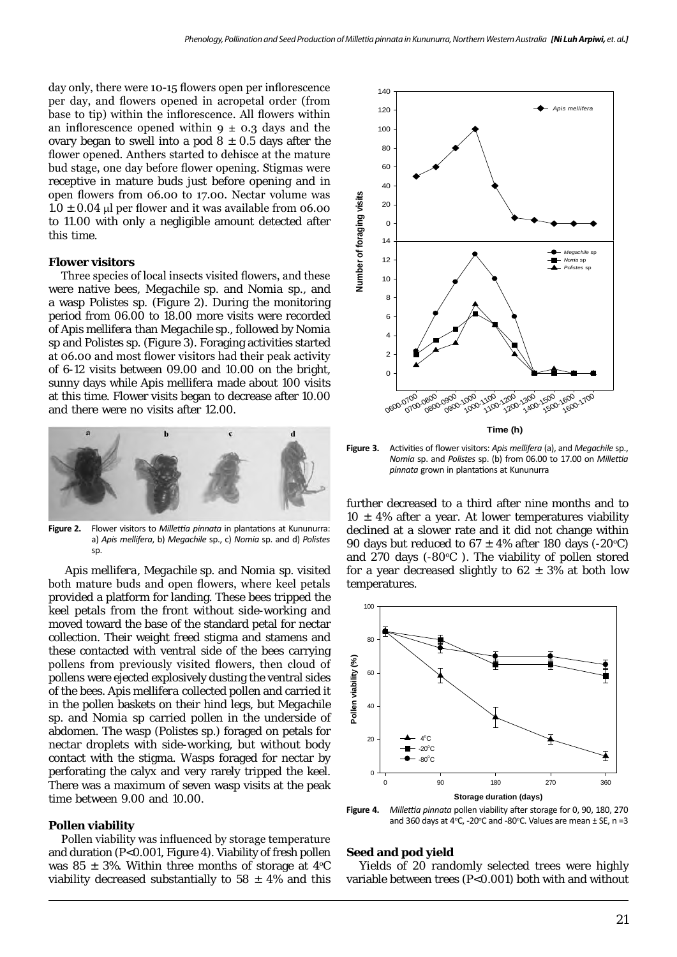day only, there were 10-15 flowers open per inflorescence per day, and flowers opened in acropetal order (from base to tip) within the inflorescence. All flowers within an inflorescence opened within  $9 \pm 0.3$  days and the ovary began to swell into a pod  $8 \pm 0.5$  days after the flower opened. Anthers started to dehisce at the mature bud stage, one day before flower opening. Stigmas were receptive in mature buds just before opening and in open flowers from 06.00 to 17.00. Nectar volume was  $1.0 \pm 0.04$  µl per flower and it was available from 06.00 to 11.00 with only a negligible amount detected after this time.

### **Flower visitors**

Three species of local insects visited flowers, and these were native bees, *Megachile* sp. and *Nomia* sp., and a wasp *Polistes* sp. (Figure 2). During the monitoring period from 06.00 to 18.00 more visits were recorded of *Apis mellifera* than *Megachile* sp., followed by *Nomia* sp and *Polistes* sp. (Figure 3). Foraging activities started at 06.00 and most flower visitors had their peak activity of 6-12 visits between 09.00 and 10.00 on the bright, sunny days while *Apis mellifera* made about 100 visits at this time. Flower visits began to decrease after 10.00 and there were no visits after 12.00.



**Figure 2.** Flower visitors to *Millettia pinnata* in plantations at Kununurra: a) *Apis mellifera*, b) *Megachile* sp., c) *Nomia* sp. and d) *Polistes* sp.

 *Apis mellifera, Megachile* sp. and *Nomia* sp. visited both mature buds and open flowers, where keel petals provided a platform for landing. These bees tripped the keel petals from the front without side-working and moved toward the base of the standard petal for nectar collection. Their weight freed stigma and stamens and these contacted with ventral side of the bees carrying pollens from previously visited flowers, then cloud of pollens were ejected explosively dusting the ventral sides of the bees. *Apis mellifera* collected pollen and carried it in the pollen baskets on their hind legs, but *Megachile* sp. and *Nomia* sp carried pollen in the underside of abdomen. The wasp (*Polistes* sp.) foraged on petals for nectar droplets with side-working, but without body contact with the stigma. Wasps foraged for nectar by perforating the calyx and very rarely tripped the keel. There was a maximum of seven wasp visits at the peak time between 9.00 and 10.00.

#### **Pollen viability**

Pollen viability was influenced by storage temperature and duration (P<0.001, Figure 4). Viability of fresh pollen was 85  $\pm$  3%. Within three months of storage at 4°C viability decreased substantially to  $58 \pm 4\%$  and this



**Figure 3.** Activities of flower visitors: *Apis mellifera* (a), and *Megachile* sp., *Nomia* sp. and *Polistes* sp. (b) from 06.00 to 17.00 on *Millettia pinnata* grown in plantations at Kununurra

further decreased to a third after nine months and to  $10 \pm 4\%$  after a year. At lower temperatures viability declined at a slower rate and it did not change within 90 days but reduced to  $67 \pm 4\%$  after 180 days (-20°C) and 270 days  $(-80^{\circ}C)$ . The viability of pollen stored for a year decreased slightly to  $62 \pm 3\%$  at both low temperatures.



**Figure 4.** *Millettia pinnata* pollen viability after storage for 0, 90, 180, 270 and 360 days at 4°C, -20°C and -80°C. Values are mean  $\pm$  SE, n =3

#### **Seed and pod yield**

Yields of 20 randomly selected trees were highly variable between trees (P<0.001) both with and without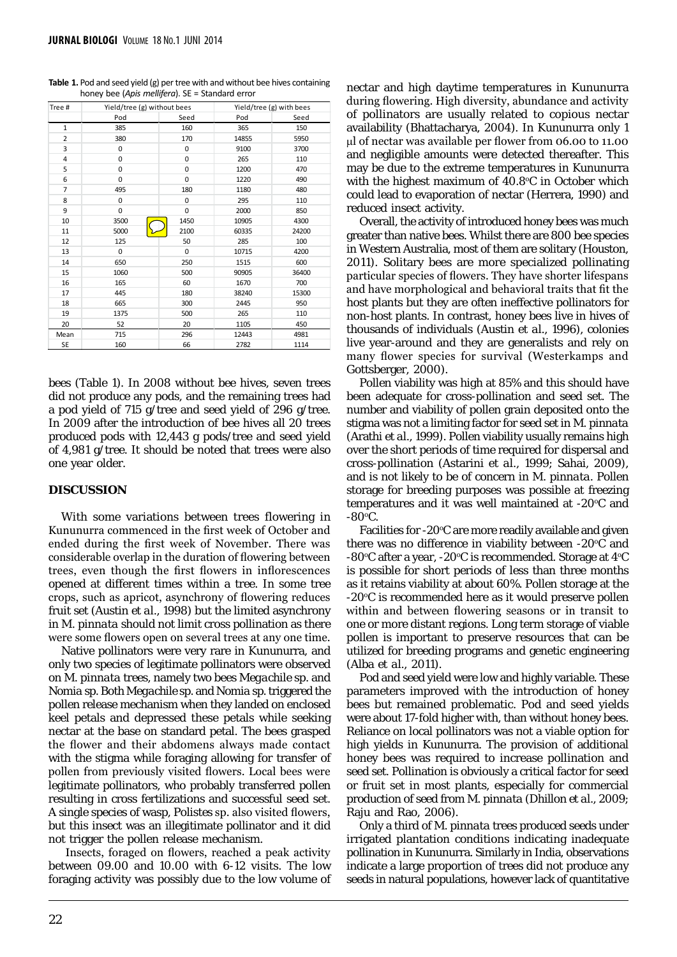| Tree #         | Yield/tree (g) without bees |             | Yield/tree (g) with bees |       |
|----------------|-----------------------------|-------------|--------------------------|-------|
|                | Pod                         | Seed        | Pod                      | Seed  |
| 1              | 385                         | 160         | 365                      | 150   |
| $\overline{2}$ | 380                         | 170         | 14855                    | 5950  |
| 3              | 0                           | $\mathbf 0$ | 9100                     | 3700  |
| 4              | 0                           | $\mathbf 0$ | 265                      | 110   |
| 5              | 0                           | $\mathbf 0$ | 1200                     | 470   |
| 6              | $\Omega$                    | $\mathbf 0$ | 1220                     | 490   |
| $\overline{7}$ | 495                         | 180         | 1180                     | 480   |
| 8              | 0                           | $\mathbf 0$ | 295                      | 110   |
| 9              | 0                           | $\mathbf 0$ | 2000                     | 850   |
| 10             | 3500                        | 1450        | 10905                    | 4300  |
| 11             | 5000                        | 2100        | 60335                    | 24200 |
| 12             | 125                         | 50          | 285                      | 100   |
| 13             | $\mathbf 0$                 | $\mathbf 0$ | 10715                    | 4200  |
| 14             | 650                         | 250         | 1515                     | 600   |
| 15             | 1060                        | 500         | 90905                    | 36400 |
| 16             | 165                         | 60          | 1670                     | 700   |
| 17             | 445                         | 180         | 38240                    | 15300 |
| 18             | 665                         | 300         | 2445                     | 950   |
| 19             | 1375                        | 500         | 265                      | 110   |
| 20             | 52                          | 20          | 1105                     | 450   |
| Mean           | 715                         | 296         | 12443                    | 4981  |
| <b>SE</b>      | 160                         | 66          | 2782                     | 1114  |

**Table 1.** Pod and seed yield (g) per tree with and without bee hives containing honey bee (*Apis mellifera*). SE = Standard error

bees (Table 1). In 2008 without bee hives, seven trees did not produce any pods, and the remaining trees had a pod yield of 715 g/tree and seed yield of 296 g/tree. In 2009 after the introduction of bee hives all 20 trees produced pods with 12,443 g pods/tree and seed yield of 4,981 g/tree. It should be noted that trees were also one year older.

### **DISCUSSION**

With some variations between trees flowering in Kununurra commenced in the first week of October and ended during the first week of November. There was considerable overlap in the duration of flowering between trees, even though the first flowers in inflorescences opened at different times within a tree. In some tree crops, such as apricot, asynchrony of flowering reduces fruit set (Austin *et al*., 1998) but the limited asynchrony in *M. pinnata* should not limit cross pollination as there were some flowers open on several trees at any one time.

Native pollinators were very rare in Kununurra, and only two species of legitimate pollinators were observed on *M. pinnata* trees, namely two bees *Megachile* sp. and *Nomia* sp. Both *Megachile* sp. and *Nomia* sp. triggered the pollen release mechanism when they landed on enclosed keel petals and depressed these petals while seeking nectar at the base on standard petal. The bees grasped the flower and their abdomens always made contact with the stigma while foraging allowing for transfer of pollen from previously visited flowers. Local bees were legitimate pollinators, who probably transferred pollen resulting in cross fertilizations and successful seed set. A single species of wasp, *Polistes* sp. also visited flowers, but this insect was an illegitimate pollinator and it did not trigger the pollen release mechanism.

 Insects, foraged on flowers, reached a peak activity between 09.00 and 10.00 with 6-12 visits. The low foraging activity was possibly due to the low volume of

nectar and high daytime temperatures in Kununurra during flowering. High diversity, abundance and activity of pollinators are usually related to copious nectar availability (Bhattacharya, 2004). In Kununurra only 1 µl of nectar was available per flower from 06.00 to 11.00 and negligible amounts were detected thereafter. This may be due to the extreme temperatures in Kununurra with the highest maximum of  $40.8$ °C in October which could lead to evaporation of nectar (Herrera, 1990) and reduced insect activity.

Overall, the activity of introduced honey bees was much greater than native bees. Whilst there are 800 bee species in Western Australia, most of them are solitary (Houston, 2011). Solitary bees are more specialized pollinating particular species of flowers. They have shorter lifespans and have morphological and behavioral traits that fit the host plants but they are often ineffective pollinators for non-host plants. In contrast, honey bees live in hives of thousands of individuals (Austin *et al*., 1996), colonies live year-around and they are generalists and rely on many flower species for survival (Westerkamps and Gottsberger, 2000).

Pollen viability was high at 85% and this should have been adequate for cross-pollination and seed set. The number and viability of pollen grain deposited onto the stigma was not a limiting factor for seed set in *M. pinnata* (Arathi *et al*., 1999). Pollen viability usually remains high over the short periods of time required for dispersal and cross-pollination (Astarini *et al*., 1999; Sahai, 2009), and is not likely to be of concern in *M. pinnata*. Pollen storage for breeding purposes was possible at freezing temperatures and it was well maintained at  $-20^{\circ}$ C and -80 $\rm ^{o}C.$ 

Facilities for -20°C are more readily available and given there was no difference in viability between  $-20^{\circ}$ C and -80 $\rm{^{\circ}C}$  after a year, -20 $\rm{^{\circ}C}$  is recommended. Storage at 4 $\rm{^{\circ}C}$ is possible for short periods of less than three months as it retains viability at about 60%. Pollen storage at the -20°C is recommended here as it would preserve pollen within and between flowering seasons or in transit to one or more distant regions. Long term storage of viable pollen is important to preserve resources that can be utilized for breeding programs and genetic engineering (Alba *et al*., 2011).

Pod and seed yield were low and highly variable. These parameters improved with the introduction of honey bees but remained problematic. Pod and seed yields were about 17-fold higher with, than without honey bees. Reliance on local pollinators was not a viable option for high yields in Kununurra. The provision of additional honey bees was required to increase pollination and seed set. Pollination is obviously a critical factor for seed or fruit set in most plants, especially for commercial production of seed from *M. pinnata* (Dhillon *et al*., 2009; Raju and Rao, 2006).

Only a third of *M. pinnata* trees produced seeds under irrigated plantation conditions indicating inadequate pollination in Kununurra. Similarly in India, observations indicate a large proportion of trees did not produce any seeds in natural populations, however lack of quantitative